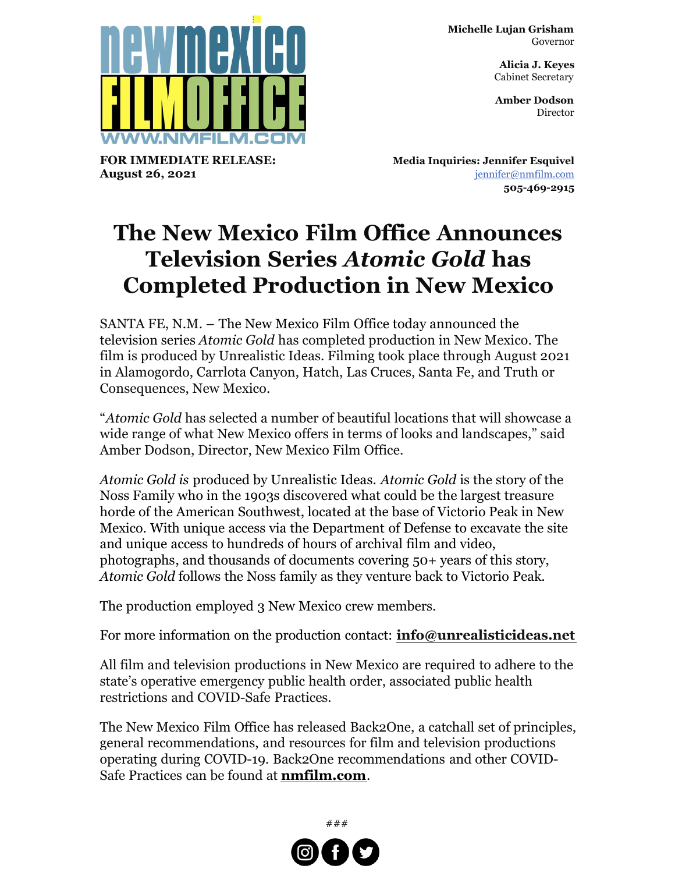**Michelle Lujan Grisham** Governor

> **Alicia J. Keyes** Cabinet Secretary

> **Amber Dodson Director**



**FOR IMMEDIATE RELEASE: August 26, 2021**

**Media Inquiries: Jennifer Esquivel** [jennifer@nmfilm.com](mailto:jennifer@nmfilm.com) **505-469-2915**

## **The New Mexico Film Office Announces Television Series** *Atomic Gold* **has Completed Production in New Mexico**

SANTA FE, N.M. – The New Mexico Film Office today announced the television series *Atomic Gold* has completed production in New Mexico. The film is produced by Unrealistic Ideas. Filming took place through August 2021 in Alamogordo, Carrlota Canyon, Hatch, Las Cruces, Santa Fe, and Truth or Consequences, New Mexico.

"*Atomic Gold* has selected a number of beautiful locations that will showcase a wide range of what New Mexico offers in terms of looks and landscapes," said Amber Dodson, Director, New Mexico Film Office.

*Atomic Gold is* produced by Unrealistic Ideas. *Atomic Gold* is the story of the Noss Family who in the 1903s discovered what could be the largest treasure horde of the American Southwest, located at the base of Victorio Peak in New Mexico. With unique access via the Department of Defense to excavate the site and unique access to hundreds of hours of archival film and video, photographs, and thousands of documents covering 50+ years of this story, *Atomic Gold* follows the Noss family as they venture back to Victorio Peak.

The production employed 3 New Mexico crew members.

For more information on the production contact: **[info@unrealisticideas.net](mailto:info@unrealisticideas.net)**

All film and television productions in New Mexico are required to adhere to the state's operative emergency public health order, associated public health restrictions and COVID-Safe Practices.

The New Mexico Film Office has released Back2One, a catchall set of principles, general recommendations, and resources for film and television productions operating during COVID-19. Back2One recommendations and other COVID-Safe Practices can be found at **[nmfilm.com](http://nmfilm.com)**.